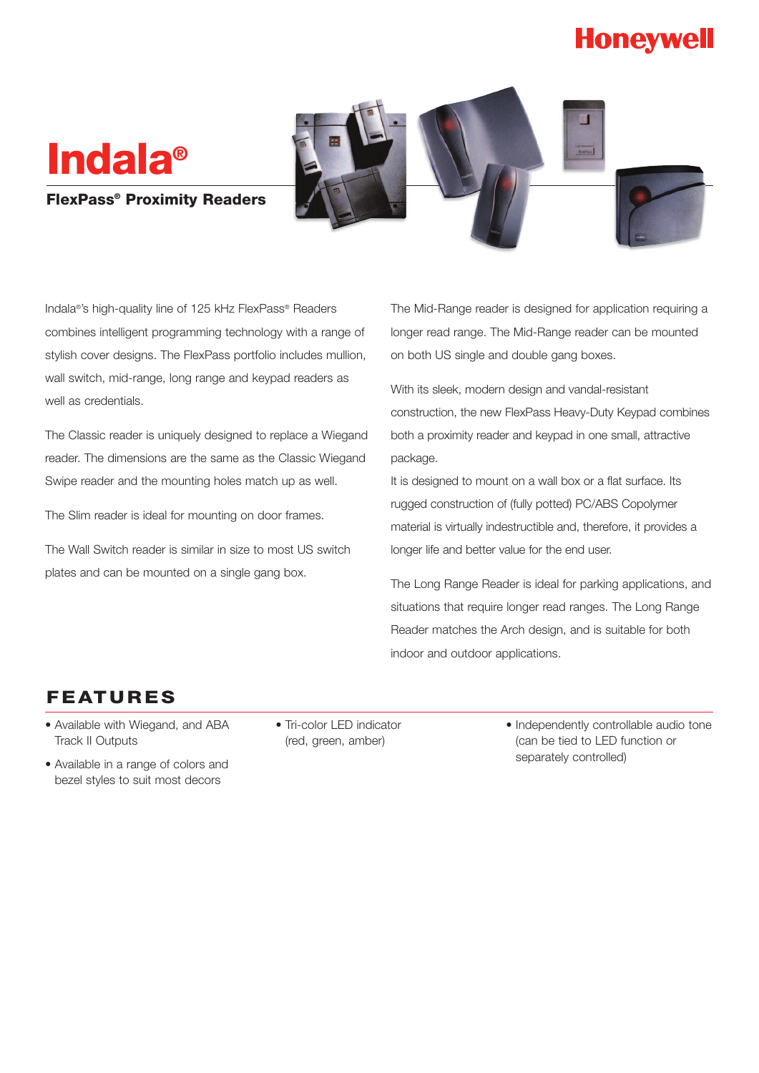## **Honeywell**

# **Indala®**

#### **FlexPass® Proximity Readers**



Indala®'s high-quality line of 125 kHz FlexPass® Readers combines intelligent programming technology with a range of stylish cover designs. The FlexPass portfolio includes mullion, wall switch, mid-range, long range and keypad readers as well as credentials.

The Classic reader is uniquely designed to replace a Wiegand reader. The dimensions are the same as the Classic Wiegand Swipe reader and the mounting holes match up as well.

The Slim reader is ideal for mounting on door frames.

The Wall Switch reader is similar in size to most US switch plates and can be mounted on a single gang box.

The Mid-Range reader is designed for application requiring a longer read range. The Mid-Range reader can be mounted on both US single and double gang boxes.

With its sleek, modern design and vandal-resistant construction, the new FlexPass Heavy-Duty Keypad combines both a proximity reader and keypad in one small, attractive package.

It is designed to mount on a wall box or a flat surface. Its rugged construction of (fully potted) PC/ABS Copolymer material is virtually indestructible and, therefore, it provides a longer life and better value for the end user.

The Long Range Reader is ideal for parking applications, and situations that require longer read ranges. The Long Range Reader matches the Arch design, and is suitable for both indoor and outdoor applications.

### **FEATURES**

- Available with Wiegand, and ABA Track II Outputs
- Available in a range of colors and bezel styles to suit most decors
- Tri-color LED indicator (red, green, amber)
- Independently controllable audio tone (can be tied to LED function or separately controlled)